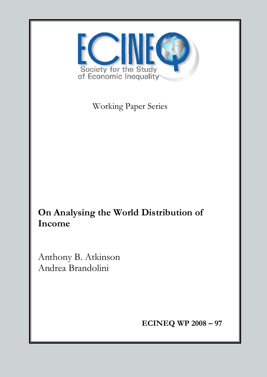

# Working Paper Series

# **On Analysing the World Distribution of Income**

Anthony B. Atkinson Andrea Brandolini

**ECINEQ WP 2008 – 97**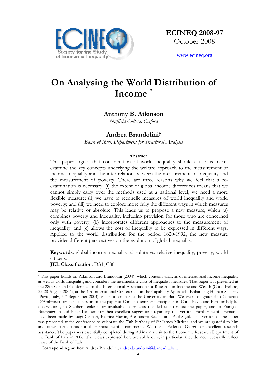

www.ecineq.org

# **On Analysing the World Distribution of Income \***

# **Anthony B. Atkinson**

*Nuffield College, Oxford* 

# **Andrea Brandolini†**

*Bank of Italy, Department for Structural Analysis* 

# **Abstract**

This paper argues that consideration of world inequality should cause us to reexamine the key concepts underlying the welfare approach to the measurement of income inequality and the inter-relation between the measurement of inequality and the measurement of poverty. There are three reasons why we feel that a reexamination is necessary: (i) the extent of global income differences means that we cannot simply carry over the methods used at a national level; we need a more flexible measure; (ii) we have to reconcile measures of world inequality and world poverty; and (iii) we need to explore more fully the different ways in which measures may be relative or absolute. This leads us to propose a new measure, which (a) combines poverty and inequality, including provision for those who are concerned only with poverty, (b) incorporates different approaches to the measurement of inequality; and (c) allows the cost of inequality to be expressed in different ways. Applied to the world distribution for the period 1820-1992, the new measure provides different perspectives on the evolution of global inequality.

**Keywords**: global income inequality, absolute vs. relative inequality, poverty, world citizens. **JEL Classification**: D31, C80.

 $\overline{a}$ 

<sup>\*</sup> This paper builds on Atkinson and Brandolini (2004), which contains analysis of international income inequality as well as world inequality, and considers the intermediate class of inequality measures. That paper was presented at the 28th General Conference of the International Association for Research in Income and Wealth (Cork, Ireland, 22-28 August 2004), at the 4th International Conference on the Capability Approach: Enhancing Human Security (Pavia, Italy, 5-7 September 2004) and in a seminar at the University of Bari. We are most grateful to Conchita D'Ambrosio for her discussion of the paper at Cork, to seminar participants in Cork, Pavia and Bari for helpful observations, to Stephen Jenkins for invaluable comments that led us to recast the paper, and to François Bourguignon and Peter Lambert for their excellent suggestions regarding this version. Further helpful remarks have been made by Luigi Cannari, Fabrice Murtin, Alessandro Secchi, and Paul Segal. This version of the paper was presented at the conference to celebrate the 70th birthday of Sir James Mirrlees, and we are grateful to him and other participants for their most helpful comments. We thank Federico Giorgi for excellent research assistance. The paper was essentially completed during Atkinson's visit to the Economic Research Department of the Bank of Italy in 2006. The views expressed here are solely ours; in particular, they do not necessarily reflect those of the Bank of Italy.

<sup>†</sup> **Corresponding author:** Andrea Brandolini, andrea.brandolini@bancaditalia.it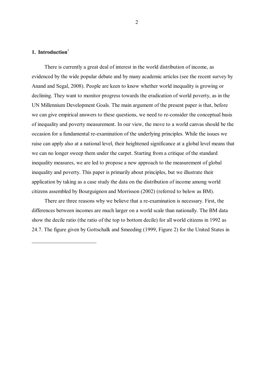# 1. Introduction $<sup>1</sup>$ </sup>

-

There is currently a great deal of interest in the world distribution of income, as evidenced by the wide popular debate and by many academic articles (see the recent survey by Anand and Segal, 2008). People are keen to know whether world inequality is growing or declining. They want to monitor progress towards the eradication of world poverty, as in the UN Millennium Development Goals. The main argument of the present paper is that, before we can give empirical answers to these questions, we need to re-consider the conceptual basis of inequality and poverty measurement. In our view, the move to a world canvas should be the occasion for a fundamental re-examination of the underlying principles. While the issues we raise can apply also at a national level, their heightened significance at a global level means that we can no longer sweep them under the carpet. Starting from a critique of the standard inequality measures, we are led to propose a new approach to the measurement of global inequality and poverty. This paper is primarily about principles, but we illustrate their application by taking as a case study the data on the distribution of income among world citizens assembled by Bourguignon and Morrisson (2002) (referred to below as BM).

There are three reasons why we believe that a re-examination is necessary. First, the differences between incomes are much larger on a world scale than nationally. The BM data show the decile ratio (the ratio of the top to bottom decile) for all world citizens in 1992 as 24.7. The figure given by Gottschalk and Smeeding (1999, Figure 2) for the United States in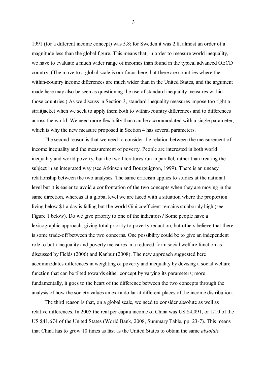1991 (for a different income concept) was 5.8; for Sweden it was 2.8, almost an order of a magnitude less than the global figure. This means that, in order to measure world inequality, we have to evaluate a much wider range of incomes than found in the typical advanced OECD country. (The move to a global scale is our focus here, but there are countries where the within-country income differences are much wider than in the United States, and the argument made here may also be seen as questioning the use of standard inequality measures within those countries.) As we discuss in Section 3, standard inequality measures impose too tight a straitjacket when we seek to apply them both to within-country differences and to differences across the world. We need more flexibility than can be accommodated with a single parameter, which is why the new measure proposed in Section 4 has several parameters.

The second reason is that we need to consider the relation between the measurement of income inequality and the measurement of poverty. People are interested in both world inequality and world poverty, but the two literatures run in parallel, rather than treating the subject in an integrated way (see Atkinson and Bourguignon, 1999). There is an uneasy relationship between the two analyses. The same criticism applies to studies at the national level but it is easier to avoid a confrontation of the two concepts when they are moving in the same direction, whereas at a global level we are faced with a situation where the proportion living below \$1 a day is falling but the world Gini coefficient remains stubbornly high (see Figure 1 below). Do we give priority to one of the indicators? Some people have a lexicographic approach, giving total priority to poverty reduction, but others believe that there is some trade-off between the two concerns. One possibility could be to give an independent role to both inequality and poverty measures in a reduced-form social welfare function as discussed by Fields (2006) and Kanbur (2008). The new approach suggested here accommodates differences in weighting of poverty and inequality by devising a social welfare function that can be tilted towards either concept by varying its parameters; more fundamentally, it goes to the heart of the difference between the two concepts through the analysis of how the society values an extra dollar at different places of the income distribution.

The third reason is that, on a global scale, we need to consider absolute as well as relative differences. In 2005 the real per capita income of China was US \$4,091, or 1/10 of the US \$41,674 of the United States (World Bank, 2008, Summary Table, pp. 23-7). This means that China has to grow 10 times as fast as the United States to obtain the same absolute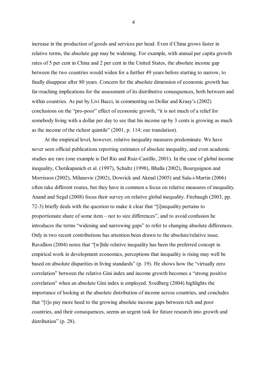increase in the production of goods and services per head. Even if China grows faster in relative terms, the absolute gap may be widening. For example, with annual per capita growth rates of 5 per cent in China and 2 per cent in the United States, the absolute income gap between the two countries would widen for a further 49 years before starting to narrow, to finally disappear after 80 years. Concern for the absolute dimension of economic growth has far-reaching implications for the assessment of its distributive consequences, both between and within countries. As put by Livi Bacci, in commenting on Dollar and Kraay's (2002) conclusions on the "pro-poor" effect of economic growth, "it is not much of a relief for somebody living with a dollar per day to see that his income up by 3 cents is growing as much as the income of the richest quintile" (2001, p. 114; our translation).

At the empirical level, however, relative inequality measures predominate. We have never seen official publications reporting estimates of absolute inequality, and even academic studies are rare (one example is Del Río and Ruiz-Castillo, 2001). In the case of global income inequality, Chotikapanich et al. (1997), Schultz (1998), Bhalla (2002), Bourguignon and Morrisson (2002), Milanovic (2002), Dowrick and Akmal (2005) and Sala-i-Martin (2006) often take different routes, but they have in common a focus on relative measures of inequality. Anand and Segal (2008) focus their survey on relative global inequality. Firebaugh (2003, pp. 72-3) briefly deals with the question to make it clear that "[i]nequality pertains to proportionate share of some item – not to size differences", and to avoid confusion he introduces the terms "widening and narrowing gaps" to refer to changing absolute differences. Only in two recent contributions has attention been drawn to the absolute/relative issue. Ravallion (2004) notes that "[w]hile relative inequality has been the preferred concept in empirical work in development economics, perceptions that inequality is rising may well be based on absolute disparities in living standards" (p. 19). He shows how the "virtually zero correlation" between the relative Gini index and income growth becomes a "strong positive correlation" when an absolute Gini index is employed. Svedberg (2004) highlights the importance of looking at the absolute distribution of income across countries, and concludes that "[t]o pay more heed to the growing absolute income gaps between rich and poor countries, and their consequences, seems an urgent task for future research into growth and distribution" (p. 28).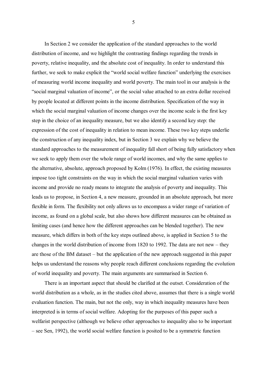In Section 2 we consider the application of the standard approaches to the world distribution of income, and we highlight the contrasting findings regarding the trends in poverty, relative inequality, and the absolute cost of inequality. In order to understand this further, we seek to make explicit the "world social welfare function" underlying the exercises of measuring world income inequality and world poverty. The main tool in our analysis is the "social marginal valuation of income", or the social value attached to an extra dollar received by people located at different points in the income distribution. Specification of the way in which the social marginal valuation of income changes over the income scale is the first key step in the choice of an inequality measure, but we also identify a second key step: the expression of the cost of inequality in relation to mean income. These two key steps underlie the construction of any inequality index, but in Section 3 we explain why we believe the standard approaches to the measurement of inequality fall short of being fully satisfactory when we seek to apply them over the whole range of world incomes, and why the same applies to the alternative, absolute, approach proposed by Kolm (1976). In effect, the existing measures impose too tight constraints on the way in which the social marginal valuation varies with income and provide no ready means to integrate the analysis of poverty and inequality. This leads us to propose, in Section 4, a new measure, grounded in an absolute approach, but more flexible in form. The flexibility not only allows us to encompass a wider range of variation of income, as found on a global scale, but also shows how different measures can be obtained as limiting cases (and hence how the different approaches can be blended together). The new measure, which differs in both of the key steps outlined above, is applied in Section 5 to the changes in the world distribution of income from 1820 to 1992. The data are not new – they are those of the BM dataset – but the application of the new approach suggested in this paper helps us understand the reasons why people reach different conclusions regarding the evolution of world inequality and poverty. The main arguments are summarised in Section 6.

There is an important aspect that should be clarified at the outset. Consideration of the world distribution as a whole, as in the studies cited above, assumes that there is a single world evaluation function. The main, but not the only, way in which inequality measures have been interpreted is in terms of social welfare. Adopting for the purposes of this paper such a welfarist perspective (although we believe other approaches to inequality also to be important – see Sen, 1992), the world social welfare function is posited to be a symmetric function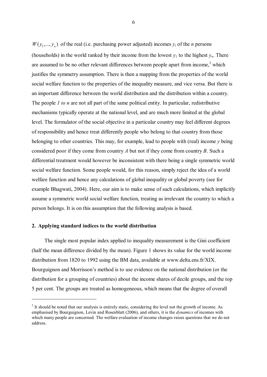$W(y_1,..., y_n)$  of the real (i.e. purchasing power adjusted) incomes  $y_i$  of the *n* persons (households) in the world ranked by their income from the lowest  $y_l$  to the highest  $y_n$ . There are assumed to be no other relevant differences between people apart from income,<sup>2</sup> which justifies the symmetry assumption. There is then a mapping from the properties of the world social welfare function to the properties of the inequality measure, and vice versa. But there is an important difference between the world distribution and the distribution within a country. The people  $I$  to  $n$  are not all part of the same political entity. In particular, redistributive mechanisms typically operate at the national level, and are much more limited at the global level. The formulator of the social objective in a particular country may feel different degrees of responsibility and hence treat differently people who belong to that country from those belonging to other countries. This may, for example, lead to people with (real) income  $\nu$  being considered poor if they come from country A but not if they come from country B. Such a differential treatment would however be inconsistent with there being a single symmetric world social welfare function. Some people would, for this reason, simply reject the idea of a world welfare function and hence any calculations of global inequality or global poverty (see for example Bhagwati, 2004). Here, our aim is to make sense of such calculations, which implicitly assume a symmetric world social welfare function, treating as irrelevant the country to which a person belongs. It is on this assumption that the following analysis is based.

## 2. Applying standard indices to the world distribution

-

The single most popular index applied to inequality measurement is the Gini coefficient (half the mean difference divided by the mean). Figure 1 shows its value for the world income distribution from 1820 to 1992 using the BM data, available at www.delta.ens.fr/XIX. Bourguignon and Morrisson's method is to use evidence on the national distribution (or the distribution for a grouping of countries) about the income shares of decile groups, and the top 5 per cent. The groups are treated as homogeneous, which means that the degree of overall

<sup>&</sup>lt;sup>2</sup> It should be noted that our analysis is entirely static, considering the level not the growth of income. As emphasised by Bourguignon, Levin and Rosenblatt (2006), and others, it is the *dynamics* of incomes with which many people are concerned. The welfare evaluation of income changes raises questions that we do not address.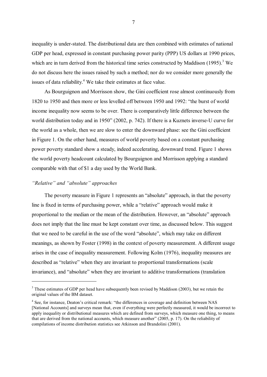inequality is under-stated. The distributional data are then combined with estimates of national GDP per head, expressed in constant purchasing power parity (PPP) US dollars at 1990 prices, which are in turn derived from the historical time series constructed by Maddison  $(1995)$ .<sup>3</sup> We do not discuss here the issues raised by such a method; nor do we consider more generally the issues of data reliability. $4$  We take their estimates at face value.

As Bourguignon and Morrisson show, the Gini coefficient rose almost continuously from 1820 to 1950 and then more or less levelled off between 1950 and 1992: "the burst of world income inequality now seems to be over. There is comparatively little difference between the world distribution today and in 1950" (2002, p. 742). If there is a Kuznets inverse-U curve for the world as a whole, then we are slow to enter the downward phase: see the Gini coefficient in Figure 1. On the other hand, measures of world poverty based on a constant purchasing power poverty standard show a steady, indeed accelerating, downward trend. Figure 1 shows the world poverty headcount calculated by Bourguignon and Morrisson applying a standard comparable with that of \$1 a day used by the World Bank.

# "Relative" and "absolute" approaches

-

The poverty measure in Figure 1 represents an "absolute" approach, in that the poverty line is fixed in terms of purchasing power, while a "relative" approach would make it proportional to the median or the mean of the distribution. However, an "absolute" approach does not imply that the line must be kept constant over time, as discussed below. This suggest that we need to be careful in the use of the word "absolute", which may take on different meanings, as shown by Foster (1998) in the context of poverty measurement. A different usage arises in the case of inequality measurement. Following Kolm (1976), inequality measures are described as "relative" when they are invariant to proportional transformations (scale invariance), and "absolute" when they are invariant to additive transformations (translation

<sup>&</sup>lt;sup>3</sup> These estimates of GDP per head have subsequently been revised by Maddison (2003), but we retain the original values of the BM dataset.

<sup>&</sup>lt;sup>4</sup> See, for instance, Deaton's critical remark: "the differences in coverage and definition between NAS [National Accounts] and surveys mean that, even if everything were perfectly measured, it would be incorrect to apply inequality or distributional measures which are defined from surveys, which measure one thing, to means that are derived from the national accounts, which measure another" (2005, p. 17). On the reliability of compilations of income distribution statistics see Atkinson and Brandolini (2001).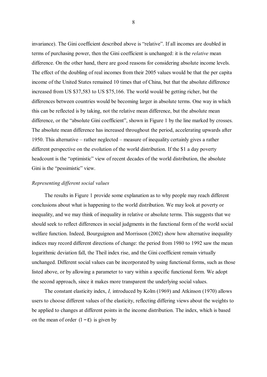invariance). The Gini coefficient described above is "relative". If all incomes are doubled in terms of purchasing power, then the Gini coefficient is unchanged: it is the relative mean difference. On the other hand, there are good reasons for considering absolute income levels. The effect of the doubling of real incomes from their 2005 values would be that the per capita income of the United States remained 10 times that of China, but that the absolute difference increased from US \$37,583 to US \$75,166. The world would be getting richer, but the differences between countries would be becoming larger in absolute terms. One way in which this can be reflected is by taking, not the relative mean difference, but the absolute mean difference, or the "absolute Gini coefficient", shown in Figure 1 by the line marked by crosses. The absolute mean difference has increased throughout the period, accelerating upwards after 1950. This alternative – rather neglected – measure of inequality certainly gives a rather different perspective on the evolution of the world distribution. If the \$1 a day poverty headcount is the "optimistic" view of recent decades of the world distribution, the absolute Gini is the "pessimistic" view.

### Representing different social values

The results in Figure 1 provide some explanation as to why people may reach different conclusions about what is happening to the world distribution. We may look at poverty or inequality, and we may think of inequality in relative or absolute terms. This suggests that we should seek to reflect differences in social judgments in the functional form of the world social welfare function. Indeed, Bourguignon and Morrisson (2002) show how alternative inequality indices may record different directions of change: the period from 1980 to 1992 saw the mean logarithmic deviation fall, the Theil index rise, and the Gini coefficient remain virtually unchanged. Different social values can be incorporated by using functional forms, such as those listed above, or by allowing a parameter to vary within a specific functional form. We adopt the second approach, since it makes more transparent the underlying social values.

The constant elasticity index, I, introduced by Kolm (1969) and Atkinson (1970) allows users to choose different values of the elasticity, reflecting differing views about the weights to be applied to changes at different points in the income distribution. The index, which is based on the mean of order  $(1 - \varepsilon)$  is given by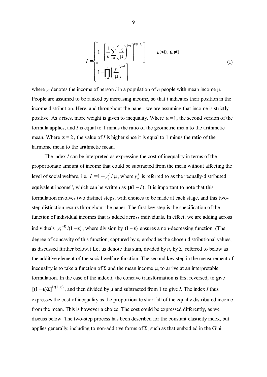$$
I = \begin{cases} \left[1 - \left[\frac{1}{n}\sum_{i=1}^{n} \left(\frac{y_i}{\mu}\right)^{1-\epsilon}\right]^{1/(1-\epsilon)}\right] & \epsilon > 0, \ \epsilon \neq 1\\ \left[1 - \prod_{i=1}^{n} \left(\frac{y_i}{\mu}\right)^{1/n}\right] & \end{cases}
$$
 (I)

where  $y_i$  denotes the income of person i in a population of n people with mean income  $\mu$ . People are assumed to be ranked by increasing income, so that  $i$  indicates their position in the income distribution. Here, and throughout the paper, we are assuming that income is strictly positive. As  $\varepsilon$  rises, more weight is given to inequality. Where  $\varepsilon = 1$ , the second version of the formula applies, and I is equal to 1 minus the ratio of the geometric mean to the arithmetic mean. Where  $\varepsilon = 2$ , the value of *I* is higher since it is equal to 1 minus the ratio of the harmonic mean to the arithmetic mean.

The index I can be interpreted as expressing the cost of inequality in terms of the proportionate amount of income that could be subtracted from the mean without affecting the level of social welfare, i.e.  $I = 1 - y_e^I / \mu$  $I = 1 - y_e^I / \mu$ , where  $y_e^I$  is referred to as the "equally-distributed" equivalent income", which can be written as  $\mu(1 - I)$ . It is important to note that this formulation involves two distinct steps, with choices to be made at each stage, and this twostep distinction recurs throughout the paper. The first key step is the specification of the function of individual incomes that is added across individuals. In effect, we are adding across individuals  $y_i^{1-\epsilon}$  /(1 –  $\epsilon$ )  $y_i^{1-\epsilon}$  /(1- $\epsilon$ ), where division by (1- $\epsilon$ ) ensures a non-decreasing function. (The degree of concavity of this function, captured by ε, embodies the chosen distributional values, as discussed further below.) Let us denote this sum, divided by n, by  $\Sigma$ , referred to below as the additive element of the social welfare function. The second key step in the measurement of inequality is to take a function of  $\Sigma$  and the mean income  $\mu$ , to arrive at an interpretable formulation. In the case of the index  $I$ , the concave transformation is first reversed, to give  $[(1 - \varepsilon)\Sigma]^{1/(1-\varepsilon)}$ , and then divided by  $\mu$  and subtracted from 1 to give *I*. The index *I* thus expresses the cost of inequality as the proportionate shortfall of the equally distributed income from the mean. This is however a choice. The cost could be expressed differently, as we discuss below. The two-step process has been described for the constant elasticity index, but applies generally, including to non-additive forms of  $\Sigma$ , such as that embodied in the Gini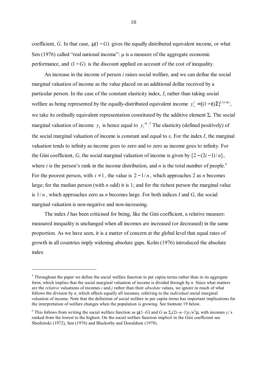coefficient, G. In that case,  $\mu(1 - G)$  gives the equally distributed equivalent income, or what Sen (1976) called "real national income":  $\mu$  is a measure of the aggregate economic performance, and  $(1 - G)$  is the discount applied on account of the cost of inequality.

An increase in the income of person *i* raises social welfare, and we can define the social marginal valuation of income as the value placed on an additional dollar received by a particular person. In the case of the constant elasticity index, I, rather than taking social welfare as being represented by the equally-distributed equivalent income  $y_e^I = [(1 - \varepsilon)\Sigma]^{1/(1-\varepsilon)}$  $y_e^l = [(1-\varepsilon)\Sigma]^{1/(1-\varepsilon)},$ we take its ordinally equivalent representation constituted by the additive element Σ. The social marginal valuation of income  $y_i$  is hence equal to  $y_i^{-\epsilon}$ .<sup>5</sup> The elasticity (defined positively) of the social marginal valuation of income is constant and equal to  $\varepsilon$ . For the index I, the marginal valuation tends to infinity as income goes to zero and to zero as income goes to infinity. For the Gini coefficient, G, the social marginal valuation of income is given by  $[2-(2i-1)/n]$ , where *i* is the person's rank in the income distribution, and *n* is the total number of people.<sup>6</sup> For the poorest person, with  $i = 1$ , the value is  $2 - \frac{1}{n}$ , which approaches 2 as n becomes large; for the median person (with  $n$  odd) it is 1; and for the richest person the marginal value is  $1/n$ , which approaches zero as *n* becomes large. For both indices I and G, the social marginal valuation is non-negative and non-increasing.

The index I has been criticised for being, like the Gini coefficient, a relative measure: measured inequality is unchanged when all incomes are increased (or decreased) in the same proportion. As we have seen, it is a matter of concern at the global level that equal rates of growth in all countries imply widening absolute gaps. Kolm (1976) introduced the absolute index

-

<sup>&</sup>lt;sup>5</sup> Throughout the paper we define the social welfare function in per capita terms rather than in its aggregate form, which implies that the social marginal valuation of income is divided through by  $n$ . Since what matters are the *relative* valuations of incomes *i* and *j* rather than their *absolute* values, we ignore in much of what follows the division by  $n$ , which affects equally all incomes, referring to the *individual* social marginal valuation of income. Note that the definition of social welfare in per capita terms has important implications for the interpretation of welfare changes when the population is growing. See footnote 19 below.

<sup>&</sup>lt;sup>6</sup> This follows from writing the social welfare function as  $\mu(1-G)$  and G as  $\Sigma_i(2i-n-1)y_i/n^2\mu$ , with incomes  $y_i$ 's ranked from the lowest to the highest. On the social welfare function implicit in the Gini coefficient see Sheshinski (1972), Sen (1976) and Blackorby and Donaldson (1978).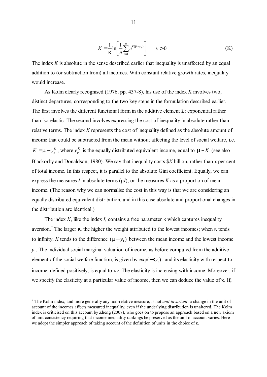$$
K = \frac{1}{\kappa} \ln \left[ \frac{1}{n} \sum_{i=1}^{n} e^{\kappa(\mu - y_i)} \right] \qquad \kappa > 0 \tag{K}
$$

The index  $K$  is absolute in the sense described earlier that inequality is unaffected by an equal addition to (or subtraction from) all incomes. With constant relative growth rates, inequality would increase.

As Kolm clearly recognised (1976, pp. 437-8), his use of the index K involves two, distinct departures, corresponding to the two key steps in the formulation described earlier. The first involves the different functional form in the additive element  $\Sigma$ : exponential rather than iso-elastic. The second involves expressing the cost of inequality in absolute rather than relative terms. The index K represents the cost of inequality defined as the absolute amount of income that could be subtracted from the mean without affecting the level of social welfare, i.e. K =  $\mu - y_e^K$ , where  $y_e^K$  is the equally distributed equivalent income, equal to  $\mu - K$  (see also Blackorby and Donaldson, 1980). We say that inequality costs  $\mathcal{S}X$  billion, rather than x per cent of total income. In this respect, it is parallel to the absolute Gini coefficient. Equally, we can express the measures I in absolute terms  $(\mu I)$ , or the measures K as a proportion of mean income. (The reason why we can normalise the cost in this way is that we are considering an equally distributed equivalent distribution, and in this case absolute and proportional changes in the distribution are identical.)

The index K, like the index I, contains a free parameter  $\kappa$  which captures inequality aversion.<sup>7</sup> The larger κ, the higher the weight attributed to the lowest incomes; when κ tends to infinity, K tends to the difference  $(\mu - y_1)$  between the mean income and the lowest income  $v_1$ . The individual social marginal valuation of income, as before computed from the additive element of the social welfare function, is given by  $exp(-\kappa y_i)$ , and its elasticity with respect to income, defined positively, is equal to κy. The elasticity is increasing with income. Moreover, if we specify the elasticity at a particular value of income, then we can deduce the value of κ. If,

-

<sup>&</sup>lt;sup>7</sup> The Kolm index, and more generally any non-relative measure, is not *unit invariant*: a change in the unit of account of the incomes affects measured inequality, even if the underlying distribution is unaltered. The Kolm index is criticised on this account by Zheng (2007), who goes on to propose an approach based on a new axiom of unit consistency requiring that income inequality rankings be preserved as the unit of account varies. Here we adopt the simpler approach of taking account of the definition of units in the choice of κ.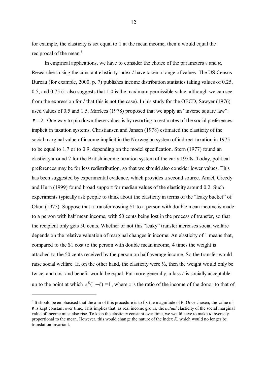for example, the elasticity is set equal to 1 at the mean income, then κ would equal the reciprocal of the mean.<sup>8</sup>

In empirical applications, we have to consider the choice of the parameters  $ε$  and  $κ$ . Researchers using the constant elasticity index I have taken a range of values. The US Census Bureau (for example, 2000, p. 7) publishes income distribution statistics taking values of 0.25, 0.5, and 0.75 (it also suggests that 1.0 is the maximum permissible value, although we can see from the expression for I that this is not the case). In his study for the OECD, Sawyer (1976) used values of 0.5 and 1.5. Mirrlees (1978) proposed that we apply an "inverse square law":  $\varepsilon$  = 2. One way to pin down these values is by resorting to estimates of the social preferences implicit in taxation systems. Christiansen and Jansen (1978) estimated the elasticity of the social marginal value of income implicit in the Norwegian system of indirect taxation in 1975 to be equal to 1.7 or to 0.9, depending on the model specification. Stern (1977) found an elasticity around 2 for the British income taxation system of the early 1970s. Today, political preferences may be for less redistribution, so that we should also consider lower values. This has been suggested by experimental evidence, which provides a second source. Amiel, Creedy and Hurn (1999) found broad support for median values of the elasticity around 0.2. Such experiments typically ask people to think about the elasticity in terms of the "leaky bucket" of Okun (1975). Suppose that a transfer costing \$1 to a person with double mean income is made to a person with half mean income, with 50 cents being lost in the process of transfer, so that the recipient only gets 50 cents. Whether or not this "leaky" transfer increases social welfare depends on the relative valuation of marginal changes in income. An elasticity of 1 means that, compared to the \$1 cost to the person with double mean income, 4 times the weight is attached to the 50 cents received by the person on half average income. So the transfer would raise social welfare. If, on the other hand, the elasticity were ½, then the weight would only be twice, and cost and benefit would be equal. Put more generally, a loss  $\ell$  is socially acceptable up to the point at which  $z^{\epsilon}(1-\ell) = 1$ , where z is the ratio of the income of the donor to that of

-

<sup>&</sup>lt;sup>8</sup> It should be emphasised that the aim of this procedure is to fix the magnitude of κ. Once chosen, the value of κ is kept constant over time. This implies that, as real income grows, the actual elasticity of the social marginal value of income must also rise. To keep the elasticity constant over time, we would have to make κ inversely proportional to the mean. However, this would change the nature of the index  $K$ , which would no longer be translation invariant.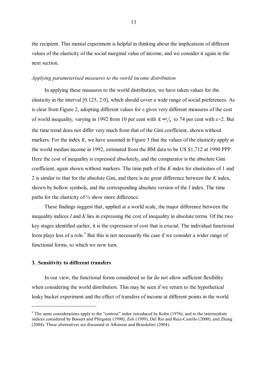the recipient. This mental experiment is helpful in thinking about the implications of different values of the elasticity of the social marginal value of income, and we consider it again in the next section.

### Applying parameterised measures to the world income distribution

In applying these measures to the world distribution, we have taken values for the elasticity in the interval [0.125, 2.0], which should cover a wide range of social preferences. As is clear from Figure 2, adopting different values for ε gives very different measures of the cost of world inequality, varying in 1992 from 10 per cent with  $\varepsilon = \frac{1}{8}$  to 74 per cent with  $\varepsilon = 2$ . But the time trend does not differ very much from that of the Gini coefficient, shown without markers. For the index  $K$ , we have assumed in Figure 3 that the values of the elasticity apply at the world median income in 1992, estimated from the BM data to be US \$1,712 at 1990 PPP. Here the cost of inequality is expressed absolutely, and the comparator is the absolute Gini coefficient, again shown without markers. The time path of the K index for elasticities of 1 and 2 is similar to that for the absolute Gini, and there is no great difference between the K index, shown by hollow symbols, and the corresponding absolute version of the I index. The time paths for the elasticity of ⅛ show more difference.

These findings suggest that, applied at a world scale, the major difference between the inequality indices  $I$  and  $K$  lies in expressing the cost of inequality in absolute terms. Of the two key stages identified earlier, it is the expression of cost that is crucial. The individual functional form plays less of a role.<sup>9</sup> But this is not necessarily the case if we consider a wider range of functional forms, to which we now turn.

#### 3. Sensitivity to different transfers

-

In our view, the functional forms considered so far do not allow sufficient flexibility when considering the world distribution. This may be seen if we return to the hypothetical leaky bucket experiment and the effect of transfers of income at different points in the world

<sup>&</sup>lt;sup>9</sup> The same considerations apply to the "centrist" index introduced by Kolm (1976), and to the intermediate indices considered by Bossert and Pfingsten (1990), Zoli (1999), Del Rio and Ruiz-Castillo (2000), and Zheng (2004). These alternatives are discussed in Atkinson and Brandolini (2004).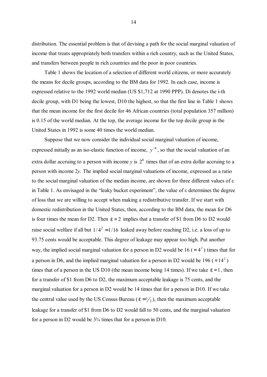distribution. The essential problem is that of devising a path for the social marginal valuation of income that treats appropriately both transfers within a rich country, such as the United States, and transfers between people in rich countries and the poor in poor countries.

Table 1 shows the location of a selection of different world citizens, or more accurately the means for decile groups, according to the BM data for 1992. In each case, income is expressed relative to the 1992 world median (US \$1,712 at 1990 PPP). Di denotes the i-th decile group, with D1 being the lowest, D10 the highest, so that the first line in Table 1 shows that the mean income for the first decile for 46 African countries (total population 357 million) is 0.15 of the world median. At the top, the average income for the top decile group in the United States in 1992 is some 40 times the world median.

Suppose that we now consider the individual social marginal valuation of income, expressed initially as an iso-elastic function of income,  $y^{-\epsilon}$ , so that the social valuation of an extra dollar accruing to a person with income y is  $2^{\epsilon}$  times that of an extra dollar accruing to a person with income 2y. The implied social marginal valuations of income, expressed as a ratio to the social marginal valuation of the median income, are shown for three different values of ε in Table 1. As envisaged in the "leaky bucket experiment", the value of ε determines the degree of loss that we are willing to accept when making a redistributive transfer. If we start with domestic redistribution in the United States, then, according to the BM data, the mean for D6 is four times the mean for D2. Then  $\varepsilon = 2$  implies that a transfer of \$1 from D6 to D2 would raise social welfare if all but  $1/4^2 = 1/16$  leaked away before reaching D2, i.e. a loss of up to 93.75 cents would be acceptable. This degree of leakage may appear too high. Put another way, the implied social marginal valuation for a person in D2 would be 16  $(=4^2)$  times that for a person in D6, and the implied marginal valuation for a person in D2 would be 196  $(=14^2)$ times that of a person in the US D10 (the mean income being 14 times). If we take  $\varepsilon = 1$ , then for a transfer of \$1 from D6 to D2, the maximum acceptable leakage is 75 cents, and the marginal valuation for a person in D2 would be 14 times that for a person in D10. If we take the central value used by the US Census Bureau ( $\varepsilon = \frac{1}{2}$ ), then the maximum acceptable leakage for a transfer of \$1 from D6 to D2 would fall to 50 cents, and the marginal valuation for a person in D2 would be  $3\frac{3}{4}$  times that for a person in D10.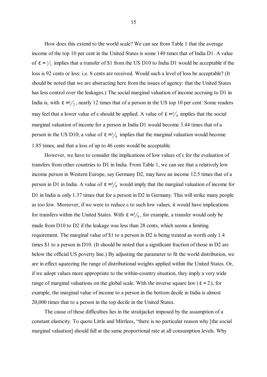How does this extend to the world scale? We can see from Table 1 that the average income of the top 10 per cent in the United States is some 140 times that of India D1. A value of  $\epsilon = \frac{1}{2}$  implies that a transfer of \$1 from the US D10 to India D1 would be acceptable if the loss is 92 cents or less: i.e. 8 cents are received. Would such a level of loss be acceptable? (It should be noted that we are abstracting here from the issues of agency: that the United States has less control over the leakages.) The social marginal valuation of income accruing to D1 in India is, with  $\epsilon = \frac{1}{2}$ , nearly 12 times that of a person in the US top 10 per cent. Some readers may feel that a lower value of  $\varepsilon$  should be applied. A value of  $\varepsilon = \frac{1}{4}$  implies that the social marginal valuation of income for a person in India D1 would become 3.44 times that of a person in the US D10; a value of  $\varepsilon = \frac{1}{8}$  implies that the marginal valuation would become 1.85 times, and that a loss of up to 46 cents would be acceptable.

However, we have to consider the implications of low values of ε for the evaluation of transfers from other countries to D1 in India. From Table 1, we can see that a relatively low income person in Western Europe, say Germany D2, may have an income 12.5 times that of a person in D1 in India. A value of  $\varepsilon = \frac{1}{8}$  would imply that the marginal valuation of income for D1 in India is only 1.37 times that for a person in D2 in Germany. This will strike many people as too low. Moreover, if we were to reduce ε to such low values, it would have implications for transfers within the United States. With  $\varepsilon = \frac{1}{8}$ , for example, a transfer would only be made from D10 to D2 if the leakage was less than 28 cents, which seems a limiting requirement. The marginal value of \$1 to a person in D2 is being treated as worth only 1.4 times \$1 to a person in D10. (It should be noted that a significant fraction of those in D2 are below the official US poverty line.) By adjusting the parameter to fit the world distribution, we are in effect squeezing the range of distributional weights applied within the United States. Or, if we adopt values more appropriate to the within-country situation, they imply a very wide range of marginal valuations on the global scale. With the inverse square law ( $\varepsilon$  = 2), for example, the marginal value of income to a person in the bottom decile in India is almost 20,000 times that to a person in the top decile in the United States.

The cause of these difficulties lies in the straitjacket imposed by the assumption of a constant elasticity. To quote Little and Mirrlees, "there is no particular reason why [the social marginal valuation] should fall at the same proportional rate at all consumption levels. Why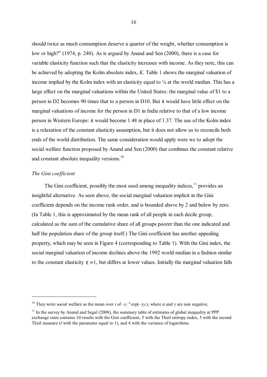should twice as much consumption deserve a quarter of the weight, whether consumption is low or high?" (1974, p. 240). As is argued by Anand and Sen (2000), there is a case for variable elasticity function such that the elasticity increases with income. As they note, this can be achieved by adopting the Kolm absolute index, K. Table 1 shows the marginal valuation of income implied by the Kolm index with an elasticity equal to ⅛ at the world median. This has a large effect on the marginal valuations within the United States: the marginal value of \$1 to a person in D2 becomes 90 times that to a person in D10. But it would have little effect on the marginal valuations of income for the person in D1 in India relative to that of a low income person in Western Europe: it would become 1.48 in place of 1.37. The use of the Kolm index is a relaxation of the constant elasticity assumption, but it does not allow us to reconcile both ends of the world distribution. The same consideration would apply were we to adopt the social welfare function proposed by Anand and Sen (2000) that combines the constant relative and constant absolute inequality versions.<sup>10</sup>

# The Gini coefficient

-

The Gini coefficient, possibly the most used among inequality indices, $11$  provides an insightful alternative. As seen above, the social marginal valuation implicit in the Gini coefficient depends on the income rank order, and is bounded above by 2 and below by zero. (In Table 1, this is approximated by the mean rank of all people in each decile group, calculated as the sum of the cumulative share of all groups poorer than the one indicated and half the population share of the group itself.) The Gini coefficient has another appealing property, which may be seen in Figure 4 (corresponding to Table 1). With the Gini index, the social marginal valuation of income declines above the 1992 world median in a fashion similar to the constant elasticity  $\varepsilon = 1$ , but differs at lower values. Initially the marginal valuation falls

<sup>&</sup>lt;sup>10</sup> They write social welfare as the mean over *i* of  $-y_i^{-\alpha}$  exp( $-y_i$ ), where  $\alpha$  and  $\gamma$  are non negative.

 $11$  In the survey by Anand and Segal (2008), the summary table of estimates of global inequality at PPP exchange rates contains 10 results with the Gini coefficient, 5 with the Theil entropy index, 5 with the second Theil measure  $(I$  with the parameter equal to 1), and 4 with the variance of logarithms.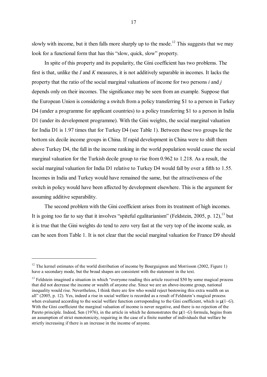slowly with income, but it then falls more sharply up to the mode.<sup>12</sup> This suggests that we may look for a functional form that has this "slow, quick, slow" property.

In spite of this property and its popularity, the Gini coefficient has two problems. The first is that, unlike the I and K measures, it is not additively separable in incomes. It lacks the property that the ratio of the social marginal valuations of income for two persons  $i$  and  $j$ depends only on their incomes. The significance may be seen from an example. Suppose that the European Union is considering a switch from a policy transferring \$1 to a person in Turkey D4 (under a programme for applicant countries) to a policy transferring \$1 to a person in India D1 (under its development programme). With the Gini weights, the social marginal valuation for India D1 is 1.97 times that for Turkey D4 (see Table 1). Between these two groups lie the bottom six decile income groups in China. If rapid development in China were to shift them above Turkey D4, the fall in the income ranking in the world population would cause the social marginal valuation for the Turkish decile group to rise from 0.962 to 1.218. As a result, the social marginal valuation for India D1 relative to Turkey D4 would fall by over a fifth to 1.55. Incomes in India and Turkey would have remained the same, but the attractiveness of the switch in policy would have been affected by development elsewhere. This is the argument for assuming additive separability.

The second problem with the Gini coefficient arises from its treatment of high incomes. It is going too far to say that it involves "spiteful egalitarianism" (Feldstein, 2005, p. 12),  $^{13}$  but it is true that the Gini weights do tend to zero very fast at the very top of the income scale, as can be seen from Table 1. It is not clear that the social marginal valuation for France D9 should

j

<sup>&</sup>lt;sup>12</sup> The kernel estimates of the world distribution of income by Bourguignon and Morrisson (2002, Figure 1) have a secondary mode, but the broad shapes are consistent with the statement in the text.

<sup>&</sup>lt;sup>13</sup> Feldstein imagined a situation in which "everyone reading this article received \$50 by some magical process that did not decrease the income or wealth of anyone else. Since we are an above-income group, national inequality would rise. Nevertheless, I think there are few who would reject bestowing this extra wealth on us all" (2005, p. 12). Yes, indeed a rise in social welfare is recorded as a result of Feldstein's magical process when evaluated according to the social welfare function corresponding to the Gini coefficient, which is  $\mu(1-G)$ . With the Gini coefficient the marginal valuation of income is never negative, and there is no rejection of the Pareto principle. Indeed, Sen (1976), in the article in which he demonstrates the  $\mu(1-G)$  formula, begins from an assumption of strict monotonicity, requiring in the case of a finite number of individuals that welfare be strictly increasing if there is an increase in the income of anyone.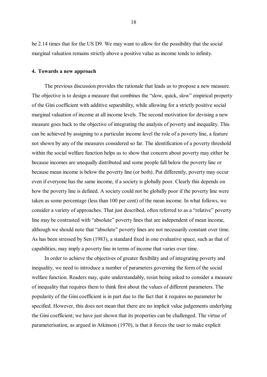be 2.14 times that for the US D9. We may want to allow for the possibility that the social marginal valuation remains strictly above a positive value as income tends to infinity.

### 4. Towards a new approach

The previous discussion provides the rationale that leads us to propose a new measure. The objective is to design a measure that combines the "slow, quick, slow" empirical property of the Gini coefficient with additive separability, while allowing for a strictly positive social marginal valuation of income at all income levels. The second motivation for devising a new measure goes back to the objective of integrating the analysis of poverty and inequality. This can be achieved by assigning to a particular income level the role of a poverty line, a feature not shown by any of the measures considered so far. The identification of a poverty threshold within the social welfare function helps us to show that concern about poverty may either be because incomes are unequally distributed and some people fall below the poverty line or because mean income is below the poverty line (or both). Put differently, poverty may occur even if everyone has the same income, if a society is globally poor. Clearly this depends on how the poverty line is defined. A society could not be globally poor if the poverty line were taken as some percentage (less than 100 per cent) of the mean income. In what follows, we consider a variety of approaches. That just described, often referred to as a "relative" poverty line may be contrasted with "absolute" poverty lines that are independent of mean income, although we should note that "absolute" poverty lines are not necessarily constant over time. As has been stressed by Sen (1983), a standard fixed in one evaluative space, such as that of capabilities, may imply a poverty line in terms of income that varies over time.

In order to achieve the objectives of greater flexibility and of integrating poverty and inequality, we need to introduce a number of parameters governing the form of the social welfare function. Readers may, quite understandably, resist being asked to consider a measure of inequality that requires them to think first about the values of different parameters. The popularity of the Gini coefficient is in part due to the fact that it requires no parameter be specified. However, this does not mean that there are no implicit value judgements underlying the Gini coefficient; we have just shown that its properties can be challenged. The virtue of parameterisation, as argued in Atkinson (1970), is that it forces the user to make explicit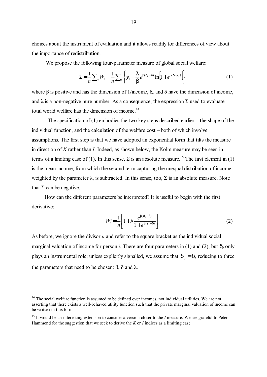choices about the instrument of evaluation and it allows readily for differences of view about the importance of redistribution.

We propose the following four-parameter measure of global social welfare:

$$
\Sigma = \frac{1}{n} \sum_{i} W_{i} \equiv \frac{1}{n} \sum_{i} \left\{ y_{i} - \frac{\lambda}{\beta} e^{\beta(\delta_{0} - \delta)} \ln \left[ 1 + e^{\beta(\delta - y_{i})} \right] \right\}
$$
(1)

where  $\beta$  is positive and has the dimension of 1/income,  $\delta_0$  and  $\delta$  have the dimension of income, and  $\lambda$  is a non-negative pure number. As a consequence, the expression  $\Sigma$  used to evaluate total world welfare has the dimension of income.<sup>14</sup>

 The specification of (1) embodies the two key steps described earlier – the shape of the individual function, and the calculation of the welfare cost – both of which involve assumptions. The first step is that we have adopted an exponential form that tilts the measure in direction of K rather than I. Indeed, as shown below, the Kolm measure may be seen in terms of a limiting case of (1). In this sense,  $\Sigma$  is an absolute measure.<sup>15</sup> The first element in (1) is the mean income, from which the second term capturing the unequal distribution of income, weighted by the parameter  $\lambda$ , is subtracted. In this sense, too,  $\Sigma$  is an absolute measure. Note that Σ can be negative.

How can the different parameters be interpreted? It is useful to begin with the first derivative:

$$
W_i' = \frac{1}{n} \left[ 1 + \lambda \frac{e^{\beta(\delta_0 - \delta)}}{1 + e^{\beta(y_i - \delta)}} \right]
$$
 (2)

As before, we ignore the divisor  $n$  and refer to the square bracket as the individual social marginal valuation of income for person *i*. There are four parameters in (1) and (2), but  $\delta_0$  only plays an instrumental role; unless explicitly signalled, we assume that  $\delta_0 = \delta$ , reducing to three the parameters that need to be chosen:  $β$ ,  $δ$  and  $λ$ .

-

<sup>&</sup>lt;sup>14</sup> The social welfare function is assumed to be defined over incomes, not individual utilities. We are not asserting that there exists a well-behaved utility function such that the private marginal valuation of income can be written in this form.

<sup>&</sup>lt;sup>15</sup> It would be an interesting extension to consider a version closer to the I measure. We are grateful to Peter Hammond for the suggestion that we seek to derive the  $K$  or  $I$  indices as a limiting case.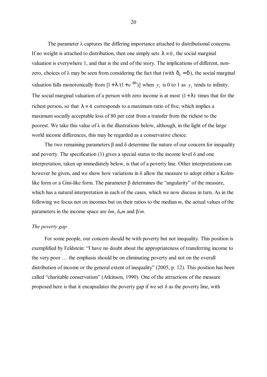The parameter  $\lambda$  captures the differing importance attached to distributional concerns. If no weight is attached to distribution, then one simply sets  $\lambda = 0$ , the social marginal valuation is everywhere 1, and that is the end of the story. The implications of different, nonzero, choices of  $\lambda$  may be seen from considering the fact that (with  $\delta_0 = \delta$ ), the social marginal valuation falls monotonically from  $[1 + \lambda/(1 + e^{-\beta \delta})]$  when  $y_i$  is 0 to 1 as  $y_i$  tends to infinity. The social marginal valuation of a person with zero income is at most  $(1 + \lambda)$  times that for the richest person, so that  $\lambda = 4$  corresponds to a maximum ratio of five, which implies a maximum socially acceptable loss of 80 per cent from a transfer from the richest to the poorest. We take this value of  $\lambda$  in the illustrations below, although, in the light of the large world income differences, this may be regarded as a conservative choice.

The two remaining parameters β and δ determine the nature of our concern for inequality and poverty. The specification (1) gives a special status to the income level  $\delta$  and one interpretation, taken up immediately below, is that of a poverty line. Other interpretations can however be given, and we show how variations in  $\delta$  allow the measure to adopt either a Kolmlike form or a Gini-like form. The parameter β determines the "angularity" of the measure, which has a natural interpretation in each of the cases, which we now discuss in turn. As in the following we focus not on incomes but on their ratios to the median  $m$ , the actual values of the parameters in the income space are  $\delta m$ ,  $\delta_0 m$  and  $\beta/m$ .

#### The poverty gap

For some people, our concern should be with poverty but not inequality. This position is exemplified by Feldstein: "I have no doubt about the appropriateness of transferring income to the very poor … the emphasis should be on eliminating poverty and not on the overall distribution of income or the general extent of inequality" (2005, p. 12). This position has been called "charitable conservatism" (Atkinson, 1990). One of the attractions of the measure proposed here is that it encapsulates the poverty gap if we set  $\delta$  as the poverty line, with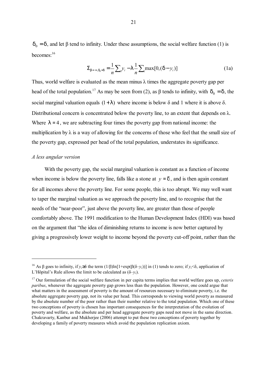$\delta_0 = \delta$ , and let β tend to infinity. Under these assumptions, the social welfare function (1) is becomes:<sup>16</sup>

$$
\Sigma_{\beta \to \infty, \delta_0 = \delta} = \frac{1}{n} \sum_{i} y_i - \lambda \frac{1}{n} \sum_{i} \max[0, (\delta - y_i)]
$$
 (1a)

Thus, world welfare is evaluated as the mean minus  $\lambda$  times the aggregate poverty gap per head of the total population.<sup>17</sup> As may be seen from (2), as  $\beta$  tends to infinity, with  $\delta_0 = \delta$ , the social marginal valuation equals  $(1 + \lambda)$  where income is below  $\delta$  and 1 where it is above  $\delta$ . Distributional concern is concentrated below the poverty line, to an extent that depends on  $\lambda$ . Where  $\lambda = 4$ , we are subtracting four times the poverty gap from national income: the multiplication by  $\lambda$  is a way of allowing for the concerns of those who feel that the small size of the poverty gap, expressed per head of the total population, understates its significance.

# A less angular version

-

With the poverty gap, the social marginal valuation is constant as a function of income when income is below the poverty line, falls like a stone at  $y = \delta$ , and is then again constant for all incomes above the poverty line. For some people, this is too abrupt. We may well want to taper the marginal valuation as we approach the poverty line, and to recognise that the needs of the "near-poor", just above the poverty line, are greater than those of people comfortably above. The 1991 modification to the Human Development Index (HDI) was based on the argument that "the idea of diminishing returns to income is now better captured by giving a progressively lower weight to income beyond the poverty cut-off point, rather than the

<sup>&</sup>lt;sup>16</sup> As β goes to infinity, if  $y_i \ge \delta$  the term  $(1/\beta) \ln[1+\exp(\beta(\delta-y_i))]$  in (1) tends to zero; if  $y_i < \delta$ , application of L'Hôpital's Rule allows the limit to be calculated as  $(\delta - y_i)$ .

<sup>&</sup>lt;sup>17</sup> Our formulation of the social welfare function in per capita terms implies that world welfare goes up, *ceteris* paribus, whenever the aggregate poverty gap grows less than the population. However, one could argue that what matters in the assessment of poverty is the amount of resources necessary to eliminate poverty, i.e. the absolute aggregate poverty gap, not its value per head. This corresponds to viewing world poverty as measured by the absolute number of the poor rather than their number relative to the total population. Which one of these two conceptions of poverty is chosen has important consequences for the interpretation of the evolution of poverty and welfare, as the absolute and per head aggregate poverty gaps need not move in the same direction. Chakravarty, Kanbur and Mukherjee (2006) attempt to put these two conceptions of poverty together by developing a family of poverty measures which avoid the population replication axiom.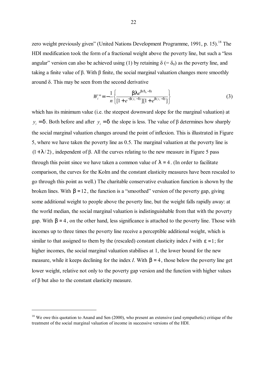zero weight previously given" (United Nations Development Programme, 1991, p. 15).<sup>18</sup> The HDI modification took the form of a fractional weight above the poverty line, but such a "less angular" version can also be achieved using (1) by retaining  $\delta$  (=  $\delta_0$ ) as the poverty line, and taking a finite value of β. With β finite, the social marginal valuation changes more smoothly around δ. This may be seen from the second derivative

$$
W_i'' = -\frac{1}{n} \left\{ \frac{\beta \lambda e^{\beta(\delta_0 - \delta)}}{[1 + e^{-\beta(y_i - \delta)}][1 + e^{\beta(y_i - \delta)}]} \right\}
$$
(3)

which has its minimum value (i.e. the steepest downward slope for the marginal valuation) at  $y_i = \delta$ . Both before and after  $y_i = \delta$  the slope is less. The value of  $\beta$  determines how sharply the social marginal valuation changes around the point of inflexion. This is illustrated in Figure 5, where we have taken the poverty line as 0.5. The marginal valuation at the poverty line is  $(1 + \lambda/2)$ , independent of β. All the curves relating to the new measure in Figure 5 pass through this point since we have taken a common value of  $\lambda = 4$ . (In order to facilitate comparison, the curves for the Kolm and the constant elasticity measures have been rescaled to go through this point as well.) The charitable conservative evaluation function is shown by the broken lines. With  $\beta = 12$ , the function is a "smoothed" version of the poverty gap, giving some additional weight to people above the poverty line, but the weight falls rapidly away: at the world median, the social marginal valuation is indistinguishable from that with the poverty gap. With  $\beta = 4$ , on the other hand, less significance is attached to the poverty line. Those with incomes up to three times the poverty line receive a perceptible additional weight, which is similar to that assigned to them by the (rescaled) constant elasticity index I with  $\varepsilon = 1$ ; for higher incomes, the social marginal valuation stabilises at 1, the lower bound for the new measure, while it keeps declining for the index I. With  $\beta = 4$ , those below the poverty line get lower weight, relative not only to the poverty gap version and the function with higher values of β but also to the constant elasticity measure.

-

<sup>&</sup>lt;sup>18</sup> We owe this quotation to Anand and Sen (2000), who present an extensive (and sympathetic) critique of the treatment of the social marginal valuation of income in successive versions of the HDI.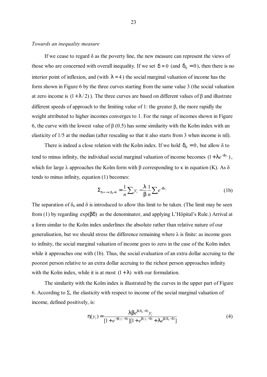# Towards an inequality measure

If we cease to regard  $\delta$  as the poverty line, the new measure can represent the views of those who are concerned with overall inequality. If we set  $\delta = 0$  (and  $\delta_0 = 0$ ), then there is no interior point of inflexion, and (with  $\lambda = 4$ ) the social marginal valuation of income has the form shown in Figure 6 by the three curves starting from the same value 3 (the social valuation at zero income is  $(1 + \lambda/2)$ ). The three curves are based on different values of β and illustrate different speeds of approach to the limiting value of 1: the greater β, the more rapidly the weight attributed to higher incomes converges to 1. For the range of incomes shown in Figure 6, the curve with the lowest value of β (0.5) has some similarity with the Kolm index with an elasticity of 1/5 at the median (after rescaling so that it also starts from 3 when income is nil).

There is indeed a close relation with the Kolm index. If we hold  $\delta_0 = 0$ , but allow  $\delta$  to tend to minus infinity, the individual social marginal valuation of income becomes  $(1 + \lambda e^{-\beta y_i})$ , which for large  $\lambda$  approaches the Kolm form with β corresponding to  $\kappa$  in equation (K). As δ tends to minus infinity, equation (1) becomes:

$$
\Sigma_{\delta \to -\infty, \delta_0 = 0} = \frac{1}{n} \sum_i y_i - \frac{\lambda}{\beta} \frac{1}{n} \sum_i e^{-\beta y_i}
$$
 (1b)

The separation of  $\delta_0$  and  $\delta$  is introduced to allow this limit to be taken. (The limit may be seen from (1) by regarding  $exp(\beta \delta)$  as the denominator, and applying L'Hôpital's Rule.) Arrival at a form similar to the Kolm index underlines the absolute rather than relative nature of our generalisation, but we should stress the difference remaining where  $\lambda$  is finite: as income goes to infinity, the social marginal valuation of income goes to zero in the case of the Kolm index while it approaches one with (1b). Thus, the social evaluation of an extra dollar accruing to the poorest person relative to an extra dollar accruing to the richest person approaches infinity with the Kolm index, while it is at most  $(1 + \lambda)$  with our formulation.

The similarity with the Kolm index is illustrated by the curves in the upper part of Figure 6. According to  $\Sigma$ , the elasticity with respect to income of the social marginal valuation of income, defined positively, is:

$$
\eta(y_i) = \frac{\lambda \beta e^{\beta(\delta_0 - \delta)} y_i}{[1 + e^{-\beta(y_i - \delta)}][1 + e^{\beta(y_i - \delta)} + \lambda e^{\beta(\delta_0 - \delta)}]}
$$
(4)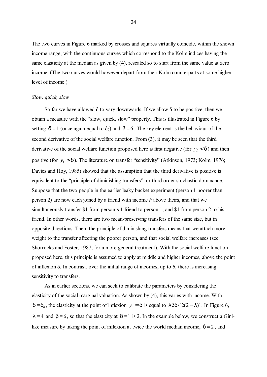The two curves in Figure 6 marked by crosses and squares virtually coincide, within the shown income range, with the continuous curves which correspond to the Kolm indices having the same elasticity at the median as given by (4), rescaled so to start from the same value at zero income. (The two curves would however depart from their Kolm counterparts at some higher level of income.)

### Slow, quick, slow

So far we have allowed  $\delta$  to vary downwards. If we allow  $\delta$  to be positive, then we obtain a measure with the "slow, quick, slow" property. This is illustrated in Figure 6 by setting  $\delta = 1$  (once again equal to  $\delta_0$ ) and  $\beta = 6$ . The key element is the behaviour of the second derivative of the social welfare function. From (3), it may be seen that the third derivative of the social welfare function proposed here is first negative (for  $y_i < \delta$ ) and then positive (for  $y_i > \delta$ ). The literature on transfer "sensitivity" (Atkinson, 1973; Kolm, 1976; Davies and Hoy, 1985) showed that the assumption that the third derivative is positive is equivalent to the "principle of diminishing transfers", or third order stochastic dominance. Suppose that the two people in the earlier leaky bucket experiment (person 1 poorer than person 2) are now each joined by a friend with income h above theirs, and that we simultaneously transfer \$1 from person's 1 friend to person 1, and \$1 from person 2 to his friend. In other words, there are two mean-preserving transfers of the same size, but in opposite directions. Then, the principle of diminishing transfers means that we attach more weight to the transfer affecting the poorer person, and that social welfare increases (see Shorrocks and Foster, 1987, for a more general treatment). With the social welfare function proposed here, this principle is assumed to apply at middle and higher incomes, above the point of inflexion δ. In contrast, over the initial range of incomes, up to δ, there is increasing sensitivity to transfers.

As in earlier sections, we can seek to calibrate the parameters by considering the elasticity of the social marginal valuation. As shown by (4), this varies with income. With  $\delta = \delta_0$ , the elasticity at the point of inflexion  $y_i = \delta$  is equal to  $\lambda \beta \delta / [2(2 + \lambda)]$ . In Figure 6,  $\lambda = 4$  and  $\beta = 6$ , so that the elasticity at  $\delta = 1$  is 2. In the example below, we construct a Ginilike measure by taking the point of inflexion at twice the world median income,  $\delta = 2$ , and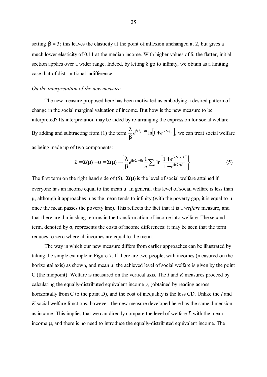setting  $\beta = 3$ ; this leaves the elasticity at the point of inflexion unchanged at 2, but gives a much lower elasticity of 0.11 at the median income. With higher values of  $\delta$ , the flatter, initial section applies over a wider range. Indeed, by letting  $\delta$  go to infinity, we obtain as a limiting case that of distributional indifference.

#### On the interpretation of the new measure

The new measure proposed here has been motivated as embodying a desired pattern of change in the social marginal valuation of income. But how is the new measure to be interpreted? Its interpretation may be aided by re-arranging the expression for social welfare. By adding and subtracting from (1) the term  $\frac{\lambda}{\alpha}e^{\beta(\delta_0-\delta)}\ln\left[1+e^{\beta(\delta-\mu)}\right],$ β  $\frac{\lambda}{\alpha}e^{\beta(\delta_0-\delta)}\ln[1+e^{\beta(\delta-\mu)}],$  we can treat social welfare as being made up of two components:

$$
\Sigma = \Sigma(\mu) - \sigma = \Sigma(\mu) - \left\{ \frac{\lambda}{\beta} e^{\beta(\delta_0 - \delta)} \frac{1}{n} \sum_{i} \ln \left[ \frac{1 + e^{\beta(\delta - y_i)}}{1 + e^{\beta(\delta - \mu)}} \right] \right\}
$$
(5)

The first term on the right hand side of (5),  $\Sigma(\mu)$  is the level of social welfare attained if everyone has an income equal to the mean  $\mu$ . In general, this level of social welfare is less than  $\mu$ , although it approaches  $\mu$  as the mean tends to infinity (with the poverty gap, it is equal to  $\mu$ once the mean passes the poverty line). This reflects the fact that it is a welfare measure, and that there are diminishing returns in the transformation of income into welfare. The second term, denoted by  $\sigma$ , represents the costs of income differences: it may be seen that the term reduces to zero where all incomes are equal to the mean.

The way in which our new measure differs from earlier approaches can be illustrated by taking the simple example in Figure 7. If there are two people, with incomes (measured on the horizontal axis) as shown, and mean  $\mu$ , the achieved level of social welfare is given by the point C (the midpoint). Welfare is measured on the vertical axis. The  $I$  and  $K$  measures proceed by calculating the equally-distributed equivalent income  $v_e$  (obtained by reading across horizontally from C to the point D), and the cost of inequality is the loss CD. Unlike the  $I$  and K social welfare functions, however, the new measure developed here has the same dimension as income. This implies that we can directly compare the level of welfare  $\Sigma$  with the mean income  $\mu$ , and there is no need to introduce the equally-distributed equivalent income. The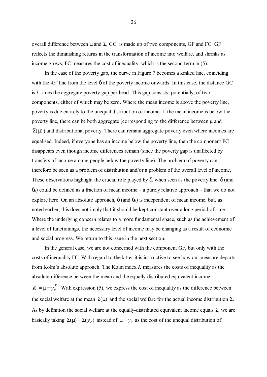overall difference between  $\mu$  and  $\Sigma$ , GC, is made up of two components, GF and FC: GF reflects the diminishing returns in the transformation of income into welfare, and shrinks as income grows; FC measures the cost of inequality, which is the second term in (5).

In the case of the poverty gap, the curve in Figure 7 becomes a kinked line, coinciding with the  $45^{\circ}$  line from the level  $\delta$  of the poverty income onwards. In this case, the distance GC is  $\lambda$  times the aggregate poverty gap per head. This gap consists, potentially, of two components, either of which may be zero. Where the mean income is above the poverty line, poverty is due entirely to the unequal distribution of income. If the mean income is below the poverty line, there can be both aggregate (corresponding to the difference between µ and  $\Sigma(\mu)$ ) and distributional poverty. There can remain aggregate poverty even where incomes are equalised. Indeed, if everyone has an income below the poverty line, then the component FC disappears even though income differences remain (since the poverty gap is unaffected by transfers of income among people below the poverty line). The problem of poverty can therefore be seen as a problem of distribution and/or a problem of the overall level of income. These observations highlight the crucial role played by  $\delta$ , when seen as the poverty line.  $\delta$  (and  $\delta_0$ ) could be defined as a fraction of mean income – a purely relative approach – that we do not explore here. On an absolute approach,  $\delta$  (and  $\delta_0$ ) is independent of mean income, but, as noted earlier, this does not imply that it should be kept constant over a long period of time. Where the underlying concern relates to a more fundamental space, such as the achievement of a level of functionings, the necessary level of income may be changing as a result of economic and social progress. We return to this issue in the next section.

In the general case, we are not concerned with the component GF, but only with the costs of inequality FC. With regard to the latter it is instructive to see how our measure departs from Kolm's absolute approach. The Kolm index K measures the costs of inequality as the absolute difference between the mean and the equally-distributed equivalent income:  $K = \mu - y_e^K$ . With expression (5), we express the cost of inequality as the difference between the social welfare at the mean  $\Sigma(\mu)$  and the social welfare for the actual income distribution  $\Sigma$ . As by definition the social welfare at the equally-distributed equivalent income equals  $\Sigma$ , we are basically taking  $\Sigma(\mu) - \Sigma(y_e)$  instead of  $\mu - y_e$  as the cost of the unequal distribution of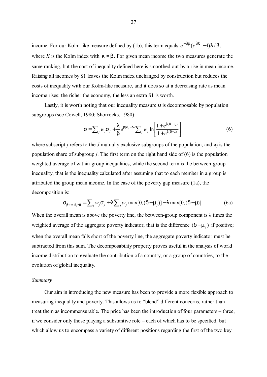income. For our Kolm-like measure defined by (1b), this term equals  $e^{-\beta \mu} (e^{\beta K} - 1) \lambda / \beta$ , where K is the Kolm index with  $\kappa = \beta$ . For given mean income the two measures generate the same ranking, but the cost of inequality defined here is smoothed out by a rise in mean income. Raising all incomes by \$1 leaves the Kolm index unchanged by construction but reduces the costs of inequality with our Kolm-like measure, and it does so at a decreasing rate as mean income rises: the richer the economy, the less an extra \$1 is worth.

Lastly, it is worth noting that our inequality measure  $\sigma$  is decomposable by population subgroups (see Cowell, 1980; Shorrocks, 1980):

$$
\sigma = \sum_{j} w_j \sigma_j + \frac{\lambda}{\beta} e^{\beta(\delta_0 - \delta)} \sum_{j} w_j \ln \left[ \frac{1 + e^{\beta(\delta - \mu_k)}}{1 + e^{\beta(\delta - \mu)}} \right]
$$
(6)

where subscript *j* refers to the *J* mutually exclusive subgroups of the population, and  $w_i$  is the population share of subgroup *j*. The first term on the right hand side of  $(6)$  is the population weighted average of within-group inequalities, while the second term is the between-group inequality, that is the inequality calculated after assuming that to each member in a group is attributed the group mean income. In the case of the poverty gap measure (1a), the decomposition is:

$$
\sigma_{\beta \to \infty, \delta_0 = \delta} = \sum_j w_j \sigma_j + \lambda \sum_j w_j \max[0, (\delta - \mu_j)] - \lambda \max[0, (\delta - \mu)] \tag{6a}
$$

When the overall mean is above the poverty line, the between-group component is  $\lambda$  times the weighted average of the aggregate poverty indicator, that is the difference  $(\delta - \mu_j)$  if positive; when the overall mean falls short of the poverty line, the aggregate poverty indicator must be subtracted from this sum. The decomposability property proves useful in the analysis of world income distribution to evaluate the contribution of a country, or a group of countries, to the evolution of global inequality.

#### Summary

Our aim in introducing the new measure has been to provide a more flexible approach to measuring inequality and poverty. This allows us to "blend" different concerns, rather than treat them as incommensurable. The price has been the introduction of four parameters – three, if we consider only those playing a substantive role – each of which has to be specified, but which allow us to encompass a variety of different positions regarding the first of the two key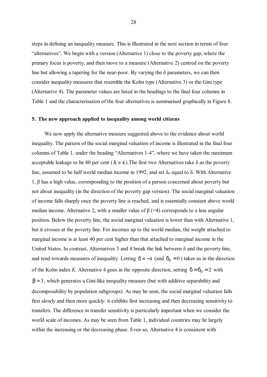steps in defining an inequality measure. This is illustrated in the next section in terms of four "alternatives". We begin with a version (Alternative 1) close to the poverty gap, where the primary focus is poverty, and then move to a measure (Alternative 2) centred on the poverty line but allowing a tapering for the near-poor. By varying the δ parameters, we can then consider inequality measures that resemble the Kolm type (Alternative 3) or the Gini type (Alternative 4). The parameter values are listed in the headings to the final four columns in Table 1 and the characterisation of the four alternatives is summarised graphically in Figure 8.

#### 5. The new approach applied to inequality among world citizens

We now apply the alternative measure suggested above to the evidence about world inequality. The pattern of the social marginal valuation of income is illustrated in the final four columns of Table 1, under the heading "Alternatives 1-4", where we have taken the maximum acceptable leakage to be 80 per cent ( $\lambda = 4$ ). The first two Alternatives take  $\delta$  as the poverty line, assumed to be half world median income in 1992, and set  $\delta_0$  equal to  $\delta$ . With Alternative 1, β has a high value, corresponding to the position of a person concerned about poverty but not about inequality (in the direction of the poverty gap version). The social marginal valuation of income falls sharply once the poverty line is reached, and is essentially constant above world median income. Alternative 2, with a smaller value of  $\beta$  (=4) corresponds to a less angular position. Below the poverty line, the social marginal valuation is lower than with Alternative 1, but it crosses at the poverty line. For incomes up to the world median, the weight attached to marginal income is at least 40 per cent higher than that attached to marginal income in the United States. In contrast, Alternatives 3 and 4 break the link between  $\delta$  and the poverty line, and tend towards measures of inequality. Letting  $\delta = -4$  (and  $\delta_0 = 0$ ) takes us in the direction of the Kolm index K. Alternative 4 goes in the opposite direction, setting  $\delta = \delta_0 = 2$  with  $\beta = 3$ , which generates a Gini-like inequality measure (but with additive separability and decomposability by population subgroups). As may be seen, the social marginal valuation falls first slowly and then more quickly: it exhibits first increasing and then decreasing sensitivity to transfers. The difference in transfer sensitivity is particularly important when we consider the world scale of incomes. As may be seen from Table 1, individual countries may lie largely within the increasing or the decreasing phase. Even so, Alternative 4 is consistent with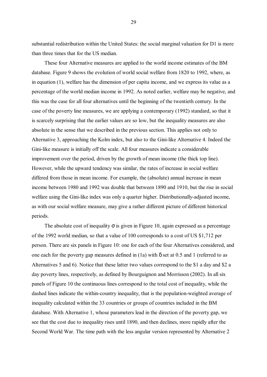substantial redistribution within the United States: the social marginal valuation for D1 is more than three times that for the US median.

These four Alternative measures are applied to the world income estimates of the BM database. Figure 9 shows the evolution of world social welfare from 1820 to 1992, where, as in equation (1), welfare has the dimension of per capita income, and we express its value as a percentage of the world median income in 1992. As noted earlier, welfare may be negative, and this was the case for all four alternatives until the beginning of the twentieth century. In the case of the poverty line measures, we are applying a contemporary (1992) standard, so that it is scarcely surprising that the earlier values are so low, but the inequality measures are also absolute in the sense that we described in the previous section. This applies not only to Alternative 3, approaching the Kolm index, but also to the Gini-like Alternative 4. Indeed the Gini-like measure is initially off the scale. All four measures indicate a considerable improvement over the period, driven by the growth of mean income (the thick top line). However, while the upward tendency was similar, the rates of increase in social welfare differed from those in mean income. For example, the (absolute) annual increase in mean income between 1980 and 1992 was double that between 1890 and 1910, but the rise in social welfare using the Gini-like index was only a quarter higher. Distributionally-adjusted income, as with our social welfare measure, may give a rather different picture of different historical periods.

The absolute cost of inequality  $\sigma$  is given in Figure 10, again expressed as a percentage of the 1992 world median, so that a value of 100 corresponds to a cost of US \$1,712 per person. There are six panels in Figure 10: one for each of the four Alternatives considered, and one each for the poverty gap measures defined in (1a) with  $\delta$  set at 0.5 and 1 (referred to as Alternatives 5 and 6). Notice that these latter two values correspond to the \$1 a day and \$2 a day poverty lines, respectively, as defined by Bourguignon and Morrisson (2002). In all six panels of Figure 10 the continuous lines correspond to the total cost of inequality, while the dashed lines indicate the within-country inequality, that is the population-weighted average of inequality calculated within the 33 countries or groups of countries included in the BM database. With Alternative 1, whose parameters lead in the direction of the poverty gap, we see that the cost due to inequality rises until 1890, and then declines, more rapidly after the Second World War. The time path with the less angular version represented by Alternative 2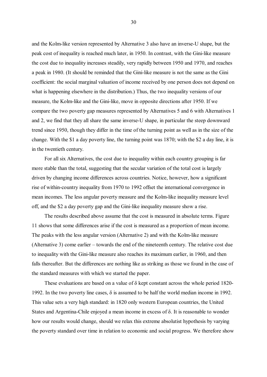and the Kolm-like version represented by Alternative 3 also have an inverse-U shape, but the peak cost of inequality is reached much later, in 1950. In contrast, with the Gini-like measure the cost due to inequality increases steadily, very rapidly between 1950 and 1970, and reaches a peak in 1980. (It should be reminded that the Gini-like measure is not the same as the Gini coefficient: the social marginal valuation of income received by one person does not depend on what is happening elsewhere in the distribution.) Thus, the two inequality versions of our measure, the Kolm-like and the Gini-like, move in opposite directions after 1950. If we compare the two poverty gap measures represented by Alternatives 5 and 6 with Alternatives 1 and 2, we find that they all share the same inverse-U shape, in particular the steep downward trend since 1950, though they differ in the time of the turning point as well as in the size of the change. With the \$1 a day poverty line, the turning point was 1870; with the \$2 a day line, it is in the twentieth century.

For all six Alternatives, the cost due to inequality within each country grouping is far more stable than the total, suggesting that the secular variation of the total cost is largely driven by changing income differences across countries. Notice, however, how a significant rise of within-country inequality from 1970 to 1992 offset the international convergence in mean incomes. The less angular poverty measure and the Kolm-like inequality measure level off, and the \$2 a day poverty gap and the Gini-like inequality measure show a rise.

The results described above assume that the cost is measured in absolute terms. Figure 11 shows that some differences arise if the cost is measured as a proportion of mean income. The peaks with the less angular version (Alternative 2) and with the Kolm-like measure (Alternative 3) come earlier – towards the end of the nineteenth century. The relative cost due to inequality with the Gini-like measure also reaches its maximum earlier, in 1960, and then falls thereafter. But the differences are nothing like as striking as those we found in the case of the standard measures with which we started the paper.

These evaluations are based on a value of δ kept constant across the whole period 1820- 1992. In the two poverty line cases, δ is assumed to be half the world median income in 1992. This value sets a very high standard: in 1820 only western European countries, the United States and Argentina-Chile enjoyed a mean income in excess of  $\delta$ . It is reasonable to wonder how our results would change, should we relax this extreme absolutist hypothesis by varying the poverty standard over time in relation to economic and social progress. We therefore show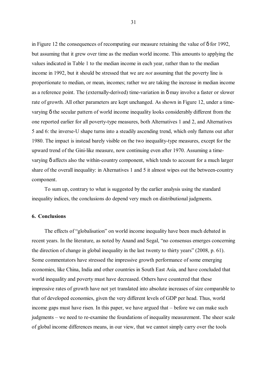in Figure 12 the consequences of recomputing our measure retaining the value of  $\delta$  for 1992, but assuming that it grew over time as the median world income. This amounts to applying the values indicated in Table 1 to the median income in each year, rather than to the median income in 1992, but it should be stressed that we are not assuming that the poverty line is proportionate to median, or mean, incomes; rather we are taking the increase in median income as a reference point. The (externally-derived) time-variation in  $\delta$  may involve a faster or slower rate of growth. All other parameters are kept unchanged. As shown in Figure 12, under a timevarying δ the secular pattern of world income inequality looks considerably different from the one reported earlier for all poverty-type measures, both Alternatives 1 and 2, and Alternatives 5 and 6: the inverse-U shape turns into a steadily ascending trend, which only flattens out after 1980. The impact is instead barely visible on the two inequality-type measures, except for the upward trend of the Gini-like measure, now continuing even after 1970. Assuming a timevarying δ affects also the within-country component, which tends to account for a much larger share of the overall inequality: in Alternatives 1 and 5 it almost wipes out the between-country component.

To sum up, contrary to what is suggested by the earlier analysis using the standard inequality indices, the conclusions do depend very much on distributional judgments.

## 6. Conclusions

The effects of "globalisation" on world income inequality have been much debated in recent years. In the literature, as noted by Anand and Segal, "no consensus emerges concerning the direction of change in global inequality in the last twenty to thirty years" (2008, p. 61). Some commentators have stressed the impressive growth performance of some emerging economies, like China, India and other countries in South East Asia, and have concluded that world inequality and poverty must have decreased. Others have countered that these impressive rates of growth have not yet translated into absolute increases of size comparable to that of developed economies, given the very different levels of GDP per head. Thus, world income gaps must have risen. In this paper, we have argued that – before we can make such judgments – we need to re-examine the foundations of inequality measurement. The sheer scale of global income differences means, in our view, that we cannot simply carry over the tools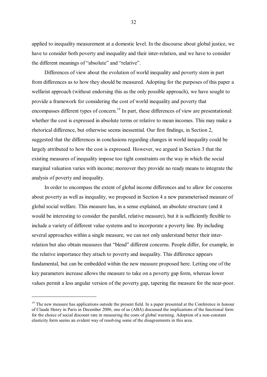applied to inequality measurement at a domestic level. In the discourse about global justice, we have to consider both poverty and inequality and their inter-relation, and we have to consider the different meanings of "absolute" and "relative".

Differences of view about the evolution of world inequality and poverty stem in part from differences as to how they should be measured. Adopting for the purposes of this paper a welfarist approach (without endorsing this as the only possible approach), we have sought to provide a framework for considering the cost of world inequality and poverty that encompasses different types of concern.<sup>19</sup> In part, these differences of view are presentational: whether the cost is expressed in absolute terms or relative to mean incomes. This may make a rhetorical difference, but otherwise seems inessential. Our first findings, in Section 2, suggested that the differences in conclusions regarding changes in world inequality could be largely attributed to how the cost is expressed. However, we argued in Section 3 that the existing measures of inequality impose too tight constraints on the way in which the social marginal valuation varies with income; moreover they provide no ready means to integrate the analysis of poverty and inequality.

In order to encompass the extent of global income differences and to allow for concerns about poverty as well as inequality, we proposed in Section 4 a new parameterised measure of global social welfare. This measure has, in a sense explained, an absolute structure (and it would be interesting to consider the parallel, relative measure), but it is sufficiently flexible to include a variety of different value systems and to incorporate a poverty line. By including several approaches within a single measure, we can not only understand better their interrelation but also obtain measures that "blend" different concerns. People differ, for example, in the relative importance they attach to poverty and inequality. This difference appears fundamental, but can be embedded within the new measure proposed here. Letting one of the key parameters increase allows the measure to take on a poverty gap form, whereas lower values permit a less angular version of the poverty gap, tapering the measure for the near-poor.

-

<sup>&</sup>lt;sup>19</sup> The new measure has applications outside the present field. In a paper presented at the Conference in honour of Claude Henry in Paris in December 2006, one of us (ABA) discussed the implications of the functional form for the choice of social discount rate in measuring the costs of global warming. Adoption of a non-constant elasticity form seems an evident way of resolving some of the disagreements in this area.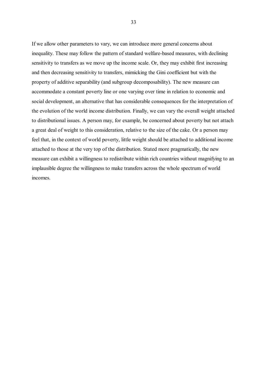If we allow other parameters to vary, we can introduce more general concerns about inequality. These may follow the pattern of standard welfare-based measures, with declining sensitivity to transfers as we move up the income scale. Or, they may exhibit first increasing and then decreasing sensitivity to transfers, mimicking the Gini coefficient but with the property of additive separability (and subgroup decomposability). The new measure can accommodate a constant poverty line or one varying over time in relation to economic and social development, an alternative that has considerable consequences for the interpretation of the evolution of the world income distribution. Finally, we can vary the overall weight attached to distributional issues. A person may, for example, be concerned about poverty but not attach a great deal of weight to this consideration, relative to the size of the cake. Or a person may feel that, in the context of world poverty, little weight should be attached to additional income attached to those at the very top of the distribution. Stated more pragmatically, the new measure can exhibit a willingness to redistribute within rich countries without magnifying to an implausible degree the willingness to make transfers across the whole spectrum of world incomes.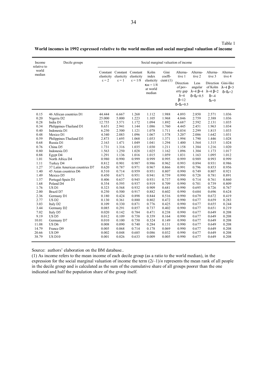| п. |  |  |  |
|----|--|--|--|
|----|--|--|--|

World incomes in 1992 expressed relative to the world median and social marginal valuation of income

| relative to<br>world<br>Gini<br>Constant Constant Constant<br>Kolm<br>Alterna-<br>median<br>index<br>coeffi-<br>tive 1<br>elasticity<br>elasticity<br>elasticity<br>$\varepsilon = 2$<br>$\varepsilon = 1$<br>$\varepsilon = 1/8$<br>elasticity<br>cient(1) | Alterna-<br>Alterna-<br>tive 3<br>tive 2                                                                                                       | Alterna-<br>tive 4                                                      |
|-------------------------------------------------------------------------------------------------------------------------------------------------------------------------------------------------------------------------------------------------------------|------------------------------------------------------------------------------------------------------------------------------------------------|-------------------------------------------------------------------------|
|                                                                                                                                                                                                                                                             |                                                                                                                                                |                                                                         |
| Direction<br>$\kappa m = 1/8$<br>of pov-<br>at world<br>erty gap<br>median<br>$\lambda = 4$<br>$\beta=12$<br>$\delta = \delta_0 = 0.5$                                                                                                                      | Less<br>angular<br>of Kolm<br>$\lambda = 4$ $\beta = 4$<br>$\lambda=4$ $\beta=2$<br>$\delta = \delta_0 = 0.5$<br>$\delta = -4$<br>$\delta_0=0$ | Direction Gini-like<br>$\lambda=4$ $\beta=3$<br>$\delta = \delta_0 = 2$ |
| 46 African countries D1<br>44.444<br>6.667<br>1.268<br>1.988<br>4.893<br>0.15<br>1.112                                                                                                                                                                      | 2.850<br>2.571                                                                                                                                 | 1.036                                                                   |
| 0.20<br>1.223<br>Nigeria D2<br>25.000<br>5.000<br>1.105<br>1.968<br>4.846                                                                                                                                                                                   | 2.759<br>2.388                                                                                                                                 | 1.036                                                                   |
| 0.28<br>12.755<br>3.571<br>1.172<br>1.094<br>1.892<br>4.687<br>India D1                                                                                                                                                                                     | 2.592<br>2.131                                                                                                                                 | 1.035                                                                   |
| 0.34<br>Philippines-Thailand D1<br>8.651<br>2.941<br>1.144<br>1.086<br>1.760<br>4.445                                                                                                                                                                       | 2.451<br>1.963                                                                                                                                 | 1.034                                                                   |
| 0.40<br>Indonesia D1<br>6.250<br>2.500<br>1.121<br>1.078<br>1.711<br>4.034                                                                                                                                                                                  | 2.299<br>1.815                                                                                                                                 | 1.033                                                                   |
| 0.48<br>2.083<br>1.096<br>Mexico D1<br>4.340<br>1.067<br>1.578<br>3.207                                                                                                                                                                                     | 2.086<br>1.642                                                                                                                                 | 1.031                                                                   |
| 0.59<br>2.873<br>1.695<br>1.053<br>1.371<br>1.994<br>Philippines-Thailand D3<br>1.068                                                                                                                                                                       | 1.790<br>1.446                                                                                                                                 | 1.028                                                                   |
| 0.68<br>Russia D1<br>1.471<br>1.294<br>1.400<br>2.163<br>1.049<br>1.041                                                                                                                                                                                     | 1.564<br>1.315                                                                                                                                 | 1.024                                                                   |
| 1.211<br>0.76<br>China D5<br>1.731<br>1.316<br>1.035<br>1.030<br>1.158                                                                                                                                                                                      | 1.384<br>1.216                                                                                                                                 | 1.020                                                                   |
| 0.80<br>1.028<br>1.096<br>Indonesia D3<br>1.563<br>1.250<br>1.025<br>1.162                                                                                                                                                                                  | 1.304<br>1.173                                                                                                                                 | 1.017                                                                   |
| 1.031<br>0.88<br>Egypt D4<br>1.291<br>1.136<br>1.016<br>1.015<br>1.059                                                                                                                                                                                      | 1.163<br>1.095                                                                                                                                 | 1.012                                                                   |
| 0.999<br>1.01<br>0.980<br>0.990<br>0.999<br>0.999<br>0.995<br>North Africa D4                                                                                                                                                                               | 0.989<br>0.993                                                                                                                                 | 0.999                                                                   |
| 1.11<br>0.812<br>0.901<br>0.987<br>0.962<br>0.993<br>Turkey D4<br>0.986                                                                                                                                                                                     | 0.894<br>0.931                                                                                                                                 | 0.986                                                                   |
| 1.27<br>0.620<br>0.787<br>0.971<br>37 Latin American countries D7<br>0.967<br>0.866<br>0.991                                                                                                                                                                | 0.853<br>0.796                                                                                                                                 | 0.956                                                                   |
| 1.40<br>0.510<br>0.714<br>0.959<br>0.807<br>0.990<br>45 Asian countries D6<br>0.951                                                                                                                                                                         | 0.749<br>0.807                                                                                                                                 | 0.921                                                                   |
| 1.49<br>0.951<br>0.990<br>Mexico D5<br>0.450<br>0.671<br>0.941<br>0.759                                                                                                                                                                                     | 0.728<br>0.781                                                                                                                                 | 0.891                                                                   |
| 1.57<br>0.406<br>0.637<br>0.945<br>0.931<br>0.737<br>0.990<br>Portugal-Spain D1                                                                                                                                                                             | 0.714<br>0.761                                                                                                                                 | 0.860                                                                   |
| 0.595<br>1.68<br>0.354<br>0.937<br>0.919<br>0.709<br>0.990<br>Poland D4                                                                                                                                                                                     | 0.701<br>0.739                                                                                                                                 | 0.809                                                                   |
| 1.76<br>US D1<br>0.323<br>0.568<br>0.932<br>0.909<br>0.681<br>0.990                                                                                                                                                                                         | 0.695<br>0.726                                                                                                                                 | 0.767                                                                   |
| 0.250<br>0.917<br>0.882<br>0.990<br>2.00<br>Brazil D7<br>0.500<br>0.602                                                                                                                                                                                     | 0.684<br>0.696                                                                                                                                 | 0.624                                                                   |
| 2.36<br>0.424<br>0.898<br>0.844<br>0.516<br>0.990<br>0.180<br>Germany D1                                                                                                                                                                                    | 0.679<br>0.672                                                                                                                                 | 0.419                                                                   |
| 0.802<br>2.77<br>0.361<br>0.880<br>0.472<br>0.990<br>US D <sub>2</sub><br>0.130                                                                                                                                                                             | 0.677<br>0.659                                                                                                                                 | 0.283                                                                   |
| 0.990<br>3.03<br>0.109<br>0.330<br>0.871<br>0.776<br>0.425<br>Italy D <sub>2</sub>                                                                                                                                                                          | 0.677<br>0.655                                                                                                                                 | 0.244                                                                   |
| 3.44<br>0.085<br>0.291<br>0.857<br>0.737<br>0.402<br>0.990<br>Germany D2                                                                                                                                                                                    | 0.677<br>0.651                                                                                                                                 | 0.219                                                                   |
| 7.02<br>0.020<br>0.784<br>0.471<br>0.238<br>0.990<br>0.142<br>Italy D5                                                                                                                                                                                      | 0.677<br>0.649                                                                                                                                 | 0.208                                                                   |
| US D5<br>9.19<br>0.012<br>0.109<br>0.758<br>0.359<br>0.164<br>0.990                                                                                                                                                                                         | 0.677<br>0.649                                                                                                                                 | 0.208                                                                   |
| 0.750<br>0.324<br>0.149<br>0.990<br>10.01<br>Germany D7<br>0.010<br>0.100                                                                                                                                                                                   | 0.677<br>0.649                                                                                                                                 | 0.208                                                                   |
| 0.008<br>0.090<br>0.740<br>0.284<br>0.131<br>0.990<br>11.08<br>US D6                                                                                                                                                                                        | 0.677<br>0.649                                                                                                                                 | 0.208                                                                   |
| 0.714<br>14.79<br>0.005<br>0.068<br>0.178<br>0.069<br>0.990<br>France D9                                                                                                                                                                                    | 0.677<br>0.649                                                                                                                                 | 0.208                                                                   |
| 0.990<br>20.66<br>US D9<br>0.002<br>0.048<br>0.685<br>0.086<br>0.032                                                                                                                                                                                        | 0.677<br>0.649                                                                                                                                 | 0.208                                                                   |
| 38.79<br><b>US D10</b><br>0.001<br>0.026<br>0.633<br>0.009<br>0.005<br>0.990                                                                                                                                                                                | 0.677<br>0.649                                                                                                                                 | 0.208                                                                   |

Source: authors' elaboration on the BM database..

(1) As income refers to the mean income of each decile group (as a ratio to the world median), in the expression for the social marginal valuation of income the term  $(2i-1)/n$  represents the mean rank of all people in the decile group and is calculated as the sum of the cumulative share of all groups poorer than the one indicated and half the population share of the group itself.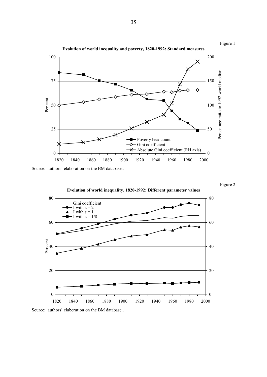



Source: authors' elaboration on the BM database..





Source: authors' elaboration on the BM database..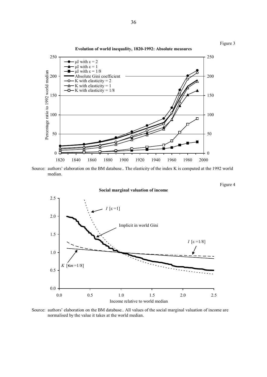

Evolution of world inequality, 1820-1992: Absolute measures



Source: authors' elaboration on the BM database.. The elasticity of the index K is computed at the 1992 world median.

Social marginal valuation of income



Source: authors' elaboration on the BM database.. All values of the social marginal valuation of income are normalised by the value it takes at the world median.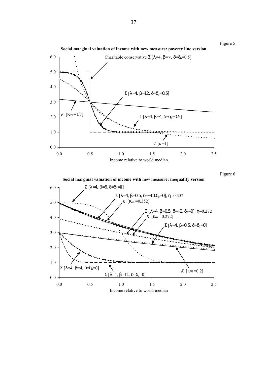

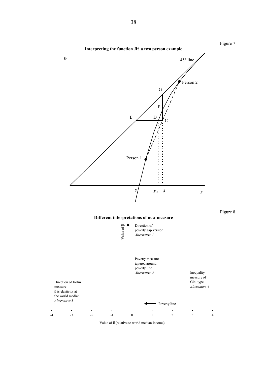

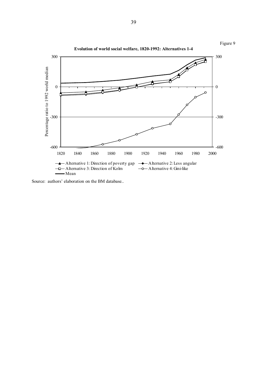



Source: authors' elaboration on the BM database..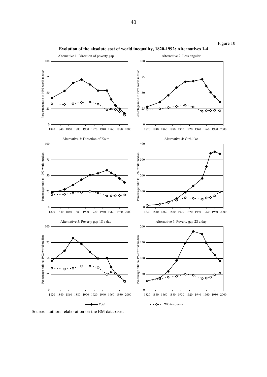

Evolution of the absolute cost of world inequality, 1820-1992: Alternatives 1-4

Source: authors' elaboration on the BM database..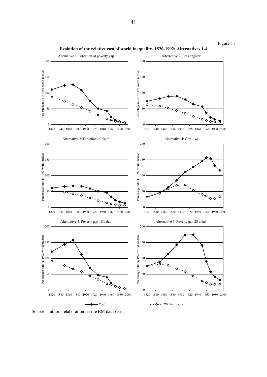

Evolution of the relative cost of world inequality, 1820-1992: Alternatives 1-4

Source: authors' elaboration on the BM database..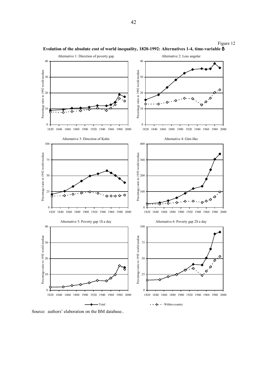

Evolution of the absolute cost of world inequality, 1820-1992: Alternatives 1-4, time-variable δ

Source: authors' elaboration on the BM database..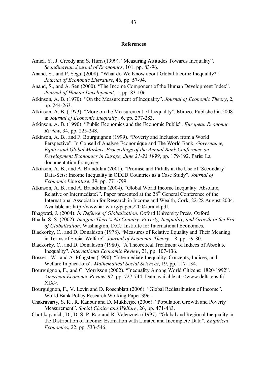#### **References**

- Amiel, Y., J. Creedy and S. Hurn (1999). "Measuring Attitudes Towards Inequality". Scandinavian Journal of Economics, 101, pp. 83-96.
- Anand, S., and P. Segal (2008). "What do We Know about Global Income Inequality?". Journal of Economic Literature, 46, pp. 57-94.
- Anand, S., and A. Sen (2000). "The Income Component of the Human Development Index". Journal of Human Development, 1, pp. 83-106.
- Atkinson, A. B. (1970). "On the Measurement of Inequality". Journal of Economic Theory, 2, pp. 244-263.
- Atkinson, A. B. (1973). "More on the Measurement of Inequality". Mimeo. Published in 2008 in Journal of Economic Inequality, 6, pp. 277-283.
- Atkinson, A. B. (1990). "Public Economics and the Economic Public". European Economic Review, 34, pp. 225-248.
- Atkinson, A. B., and F. Bourguignon (1999). "Poverty and Inclusion from a World Perspective". In Conseil d'Analyse Économique and The World Bank, Governance, Equity and Global Markets. Proceedings of the Annual Bank Conference on Development Economics in Europe, June 21-23 1999, pp. 179-192. Paris: La documentation Française.
- Atkinson, A. B., and A. Brandolini (2001). "Promise and Pitfalls in the Use of 'Secondary' Data-Sets: Income Inequality in OECD Countries as a Case Study". Journal of Economic Literature, 39, pp. 771-799.
- Atkinson, A. B., and A. Brandolini (2004). "Global World Income Inequality: Absolute, Relative or Intermediate?". Paper presented at the  $28<sup>th</sup>$  General Conference of the International Association for Research in Income and Wealth, Cork, 22-28 August 2004. Available at: http://www.iariw.org/papers/2004/brand.pdf.
- Bhagwati, J. (2004). In Defense of Globalization. Oxford University Press, Oxford.
- Bhalla, S. S. (2002). Imagine There's No Country. Poverty, Inequality, and Growth in the Era of Globalization. Washington, D.C.: Institute for International Economics.
- Blackorby, C., and D. Donaldson (1978). "Measures of Relative Equality and Their Meaning in Terms of Social Welfare". Journal of Economic Theory, 18, pp. 59-80.
- Blackorby, C., and D. Donaldson (1980). "A Theoretical Treatment of Indices of Absolute Inequality". International Economic Review, 21, pp. 107-136.
- Bossert, W., and A. Pfingsten (1990). "Intermediate Inequality: Concepts, Indices, and Welfare Implications". Mathematical Social Sciences, 19, pp. 117-134.
- Bourguignon, F., and C. Morrisson (2002). "Inequality Among World Citizens: 1820-1992". American Economic Review, 92, pp. 727-744. Data available at: <www.delta.ens.fr/  $XIX$
- Bourguignon, F., V. Levin and D. Rosenblatt (2006). "Global Redistribution of Income". World Bank Policy Research Working Paper 3961.
- Chakravarty, S. R., R. Kanbur and D. Mukherjee (2006). "Population Growth and Poverty Measurement". Social Choice and Welfare, 26, pp. 471-483.
- Chotikapanich, D., D. S. P. Rao and R. Valenzuela (1997). "Global and Regional Inequality in the Distribution of Income: Estimation with Limited and Incomplete Data". Empirical Economics, 22, pp. 533-546.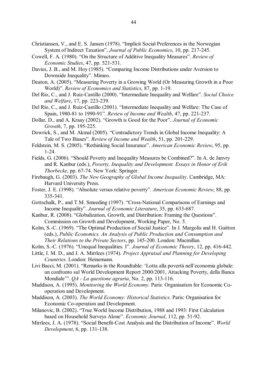- Christiansen, V., and E. S. Jansen (1978). "Implicit Social Preferences in the Norwegian System of Indirect Taxation", Journal of Public Economics, 10, pp. 217-245.
- Cowell, F. A. (1980). "On the Structure of Additive Inequality Measures". Review of Economic Studies, 47, pp. 521-531.
- Davies, J. B., and M. Hoy (1985). "Comparing Income Distributions under Aversion to Downside Inequality". Mimeo.
- Deaton, A. (2005). "Measuring Poverty in a Growing World (Or Measuring Growth in a Poor World)". Review of Economics and Statistics, 87, pp. 1-19.
- Del Río, C., and J. Ruiz-Castillo (2000). "Intermediate Inequality and Welfare". Social Choice and Welfare, 17, pp. 223-239.
- Del Río, C., and J. Ruiz-Castillo (2001). "Intermediate Inequality and Welfare: The Case of Spain, 1980-81 to 1990-91". Review of Income and Wealth, 47, pp. 221-237.
- Dollar, D., and A. Kraay (2002). "Growth is Good for the Poor". Journal of Economic Growth, 7, pp. 195-225.
- Dowrick, S., and M. Akmal (2005). "Contradictory Trends in Global Income Inequality: A Tale of Two Biases". Review of Income and Wealth, 51, pp. 201-229.
- Feldstein, M. S. (2005). "Rethinking Social Insurance". American Economic Review, 95, pp. 1-24.
- Fields, G. (2006). "Should Poverty and Inequality Measures be Combined?". In A. de Janvry and R. Kanbur (eds.), Poverty, Inequality and Development. Essays in Honor of Erik Thorbecke, pp. 67-74. New York: Springer.
- Firebaugh, G. (2003). The New Geography of Global Income Inequality. Cambridge, MA: Harvard University Press.
- Foster, J. E. (1998). "Absolute versus relative poverty". American Economic Review, 88, pp. 335-341.
- Gottschalk, P., and T.M. Smeeding (1997). "Cross-National Comparisons of Earnings and Income Inequality". Journal of Economic Literature, 35, pp. 633-687.
- Kanbur, R. (2008). "Globalization, Growth, and Distribution: Framing the Questions". Commission on Growth and Development, Working Paper, No. 5.
- Kolm, S.-C. (1969). "The Optimal Production of Social Justice". In J. Margolis and H. Guitton (eds.), Public Economics. An Analysis of Public Production and Consumption and Their Relations to the Private Sectors, pp. 145-200. London: Macmillan.
- Kolm, S.-C. (1976). "Unequal Inequalities. I". Journal of Economic Theory, 12, pp. 416-442.
- Little, I. M. D., and J. A. Mirrlees (1974). Project Appraisal and Planning for Developing Countries. London: Heinemann.
- Livi Bacci, M. (2001). "Remarks in the Roundtable: 'Lotta alla povertà nell'economia globale: un confronto sul World Development Report 2000/2001, Attacking Poverty, della Banca Mondiale"<sup>2</sup>. *OA - La questione agraria*, No. 2, pp. 113-116.
- Maddison, A. (1995). Monitoring the World Economy. Paris: Organisation for Economic Cooperation and Development.
- Maddison, A. (2003). The World Economy: Historical Statistics. Paris: Organisation for Economic Co-operation and Development.
- Milanovic, B. (2002). "True World Income Distribution, 1988 and 1993: First Calculation based on Household Surveys Alone". Economic Journal, 112, pp. 51-92.
- Mirrlees, J. A. (1978). "Social Benefit-Cost Analysis and the Distribution of Income". World Development, 6, pp. 131-138.